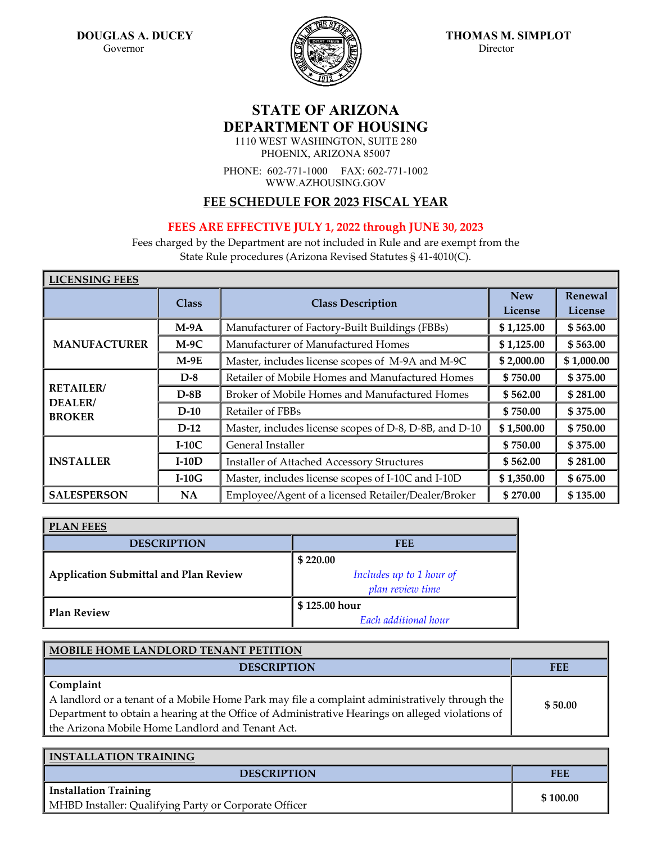

**DOUGLAS A. DUCEY THOMAS M. SIMPLOT Governor** 

## **STATE OF ARIZONA DEPARTMENT OF HOUSING**

1110 WEST WASHINGTON, SUITE 280 PHOENIX, ARIZONA 85007

PHONE: 602-771-1000 FAX: 602-771-1002 WWW.AZHOUSING.GOV

## **FEE SCHEDULE FOR 2023 FISCAL YEAR**

## **FEES ARE EFFECTIVE JULY 1, 2022 through JUNE 30, 2023**

Fees charged by the Department are not included in Rule and are exempt from the State Rule procedures (Arizona Revised Statutes § 41-4010(C).

| <b>LICEINOHNO LEFO</b>                        |              |                                                        |                       |                    |
|-----------------------------------------------|--------------|--------------------------------------------------------|-----------------------|--------------------|
|                                               | <b>Class</b> | <b>Class Description</b>                               | <b>New</b><br>License | Renewal<br>License |
|                                               | $M-9A$       | Manufacturer of Factory-Built Buildings (FBBs)         | \$1,125.00            | \$563.00           |
| <b>MANUFACTURER</b>                           | $M-9C$       | Manufacturer of Manufactured Homes                     | \$1,125.00            | \$563.00           |
|                                               | $M-9E$       | Master, includes license scopes of M-9A and M-9C       | \$2,000.00            | \$1,000.00         |
| <b>RETAILER</b> /<br>DEALER/<br><b>BROKER</b> | $D-8$        | Retailer of Mobile Homes and Manufactured Homes        | \$750.00              | \$375.00           |
|                                               | $D-8B$       | Broker of Mobile Homes and Manufactured Homes          | \$562.00              | \$281.00           |
|                                               | $D-10$       | Retailer of FBBs                                       | \$750.00              | \$375.00           |
|                                               | $D-12$       | Master, includes license scopes of D-8, D-8B, and D-10 | \$1,500.00            | \$750.00           |
|                                               | $I-10C$      | General Installer                                      | \$750.00              | \$375.00           |
| <b>INSTALLER</b>                              | $I-10D$      | Installer of Attached Accessory Structures             | \$562.00              | \$281.00           |
|                                               | $I-10G$      | Master, includes license scopes of I-10C and I-10D     | \$1,350.00            | \$675.00           |
| <b>SALESPERSON</b>                            | NA           | Employee/Agent of a licensed Retailer/Dealer/Broker    | \$270.00              | \$135.00           |

| <b>PLAN FEES</b>                             |                          |  |
|----------------------------------------------|--------------------------|--|
| <b>DESCRIPTION</b>                           | FEE                      |  |
|                                              | \$220.00                 |  |
| <b>Application Submittal and Plan Review</b> | Includes up to 1 hour of |  |
|                                              | plan review time         |  |
| <b>Plan Review</b>                           | \$125.00 hour            |  |
|                                              | Each additional hour     |  |

| MOBILE HOME LANDLORD TENANT PETITION                                                             |         |
|--------------------------------------------------------------------------------------------------|---------|
| <b>DESCRIPTION</b>                                                                               | FEE     |
| Complaint                                                                                        |         |
| A landlord or a tenant of a Mobile Home Park may file a complaint administratively through the   | \$50.00 |
| Department to obtain a hearing at the Office of Administrative Hearings on alleged violations of |         |
| the Arizona Mobile Home Landlord and Tenant Act.                                                 |         |

| <b>INSTALLATION TRAINING</b>                          |          |
|-------------------------------------------------------|----------|
| <b>DESCRIPTION</b>                                    | FEE      |
| <b>Installation Training</b>                          | \$100.00 |
| MHBD Installer: Qualifying Party or Corporate Officer |          |